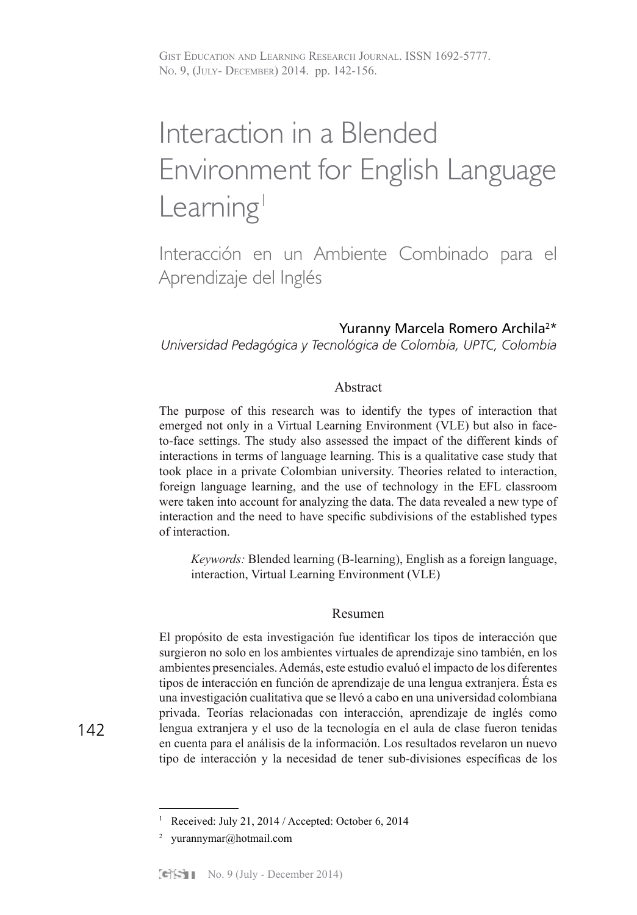# Interaction in a Blended Environment for English Language Learning<sup>1</sup>

Interacción en un Ambiente Combinado para el Aprendizaje del Inglés

# Yuranny Marcela Romero Archila<sup>2\*</sup>

*Universidad Pedagógica y Tecnológica de Colombia, UPTC, Colombia* 

# Abstract

The purpose of this research was to identify the types of interaction that emerged not only in a Virtual Learning Environment (VLE) but also in faceto-face settings. The study also assessed the impact of the different kinds of interactions in terms of language learning. This is a qualitative case study that took place in a private Colombian university. Theories related to interaction, foreign language learning, and the use of technology in the EFL classroom were taken into account for analyzing the data. The data revealed a new type of interaction and the need to have specific subdivisions of the established types of interaction.

*Keywords:* Blended learning (B-learning), English as a foreign language, interaction, Virtual Learning Environment (VLE)

# Resumen

El propósito de esta investigación fue identificar los tipos de interacción que surgieron no solo en los ambientes virtuales de aprendizaje sino también, en los ambientes presenciales. Además, este estudio evaluó el impacto de los diferentes tipos de interacción en función de aprendizaje de una lengua extranjera. Ésta es una investigación cualitativa que se llevó a cabo en una universidad colombiana privada. Teorías relacionadas con interacción, aprendizaje de inglés como lengua extranjera y el uso de la tecnología en el aula de clase fueron tenidas en cuenta para el análisis de la información. Los resultados revelaron un nuevo tipo de interacción y la necesidad de tener sub-divisiones específicas de los

<sup>1</sup> Received: July 21, 2014 / Accepted: October 6, 2014

<sup>&</sup>lt;sup>2</sup> yurannymar@hotmail.com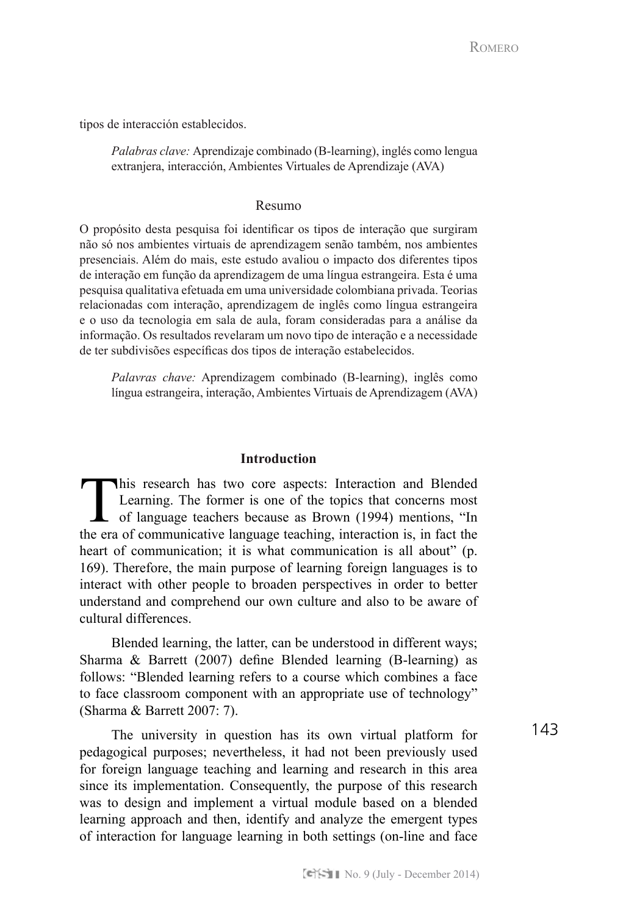tipos de interacción establecidos.

*Palabras clave:* Aprendizaje combinado (B-learning), inglés como lengua extranjera, interacción, Ambientes Virtuales de Aprendizaje (AVA)

# Resumo

O propósito desta pesquisa foi identificar os tipos de interação que surgiram não só nos ambientes virtuais de aprendizagem senão também, nos ambientes presenciais. Além do mais, este estudo avaliou o impacto dos diferentes tipos de interação em função da aprendizagem de uma língua estrangeira. Esta é uma pesquisa qualitativa efetuada em uma universidade colombiana privada. Teorias relacionadas com interação, aprendizagem de inglês como língua estrangeira e o uso da tecnologia em sala de aula, foram consideradas para a análise da informação. Os resultados revelaram um novo tipo de interação e a necessidade de ter subdivisões específicas dos tipos de interação estabelecidos.

*Palavras chave:* Aprendizagem combinado (B-learning), inglês como língua estrangeira, interação, Ambientes Virtuais de Aprendizagem (AVA)

# **Introduction**

This research has two core aspects: Interaction and Blended Learning. The former is one of the topics that concerns most of language teachers because as Brown (1994) mentions, "In the era of communicative language teaching, interaction is, in fact the heart of communication; it is what communication is all about" (p. 169). Therefore, the main purpose of learning foreign languages is to interact with other people to broaden perspectives in order to better understand and comprehend our own culture and also to be aware of cultural differences.

Blended learning, the latter, can be understood in different ways; Sharma & Barrett (2007) define Blended learning (B-learning) as follows: "Blended learning refers to a course which combines a face to face classroom component with an appropriate use of technology" (Sharma & Barrett 2007: 7).

The university in question has its own virtual platform for pedagogical purposes; nevertheless, it had not been previously used for foreign language teaching and learning and research in this area since its implementation. Consequently, the purpose of this research was to design and implement a virtual module based on a blended learning approach and then, identify and analyze the emergent types of interaction for language learning in both settings (on-line and face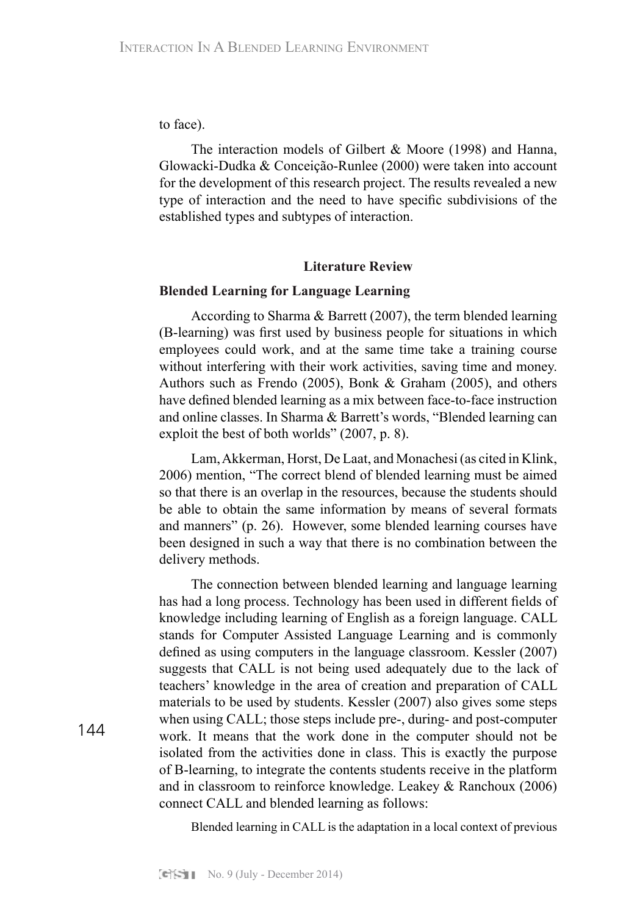to face).

The interaction models of Gilbert & Moore (1998) and Hanna, Glowacki-Dudka & Conceição-Runlee (2000) were taken into account for the development of this research project. The results revealed a new type of interaction and the need to have specific subdivisions of the established types and subtypes of interaction.

# **Literature Review**

# **Blended Learning for Language Learning**

According to Sharma & Barrett (2007), the term blended learning (B-learning) was first used by business people for situations in which employees could work, and at the same time take a training course without interfering with their work activities, saving time and money. Authors such as Frendo (2005), Bonk & Graham (2005), and others have defined blended learning as a mix between face-to-face instruction and online classes. In Sharma & Barrett's words, "Blended learning can exploit the best of both worlds" (2007, p. 8).

Lam, Akkerman, Horst, De Laat, and Monachesi (as cited in Klink, 2006) mention, "The correct blend of blended learning must be aimed so that there is an overlap in the resources, because the students should be able to obtain the same information by means of several formats and manners" (p. 26). However, some blended learning courses have been designed in such a way that there is no combination between the delivery methods.

The connection between blended learning and language learning has had a long process. Technology has been used in different fields of knowledge including learning of English as a foreign language. CALL stands for Computer Assisted Language Learning and is commonly defined as using computers in the language classroom. Kessler (2007) suggests that CALL is not being used adequately due to the lack of teachers' knowledge in the area of creation and preparation of CALL materials to be used by students. Kessler (2007) also gives some steps when using CALL; those steps include pre-, during- and post-computer work. It means that the work done in the computer should not be isolated from the activities done in class. This is exactly the purpose of B-learning, to integrate the contents students receive in the platform and in classroom to reinforce knowledge. Leakey & Ranchoux (2006) connect CALL and blended learning as follows:

Blended learning in CALL is the adaptation in a local context of previous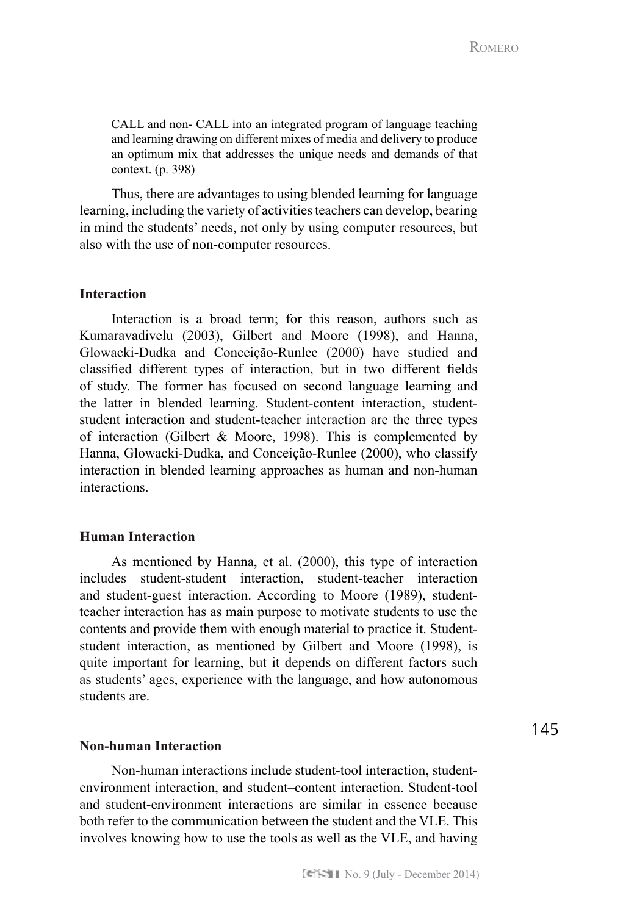CALL and non- CALL into an integrated program of language teaching and learning drawing on different mixes of media and delivery to produce an optimum mix that addresses the unique needs and demands of that context. (p. 398)

Thus, there are advantages to using blended learning for language learning, including the variety of activities teachers can develop, bearing in mind the students' needs, not only by using computer resources, but also with the use of non-computer resources.

# **Interaction**

Interaction is a broad term; for this reason, authors such as Kumaravadivelu (2003), Gilbert and Moore (1998), and Hanna, Glowacki-Dudka and Conceição-Runlee (2000) have studied and classified different types of interaction, but in two different fields of study. The former has focused on second language learning and the latter in blended learning. Student-content interaction, studentstudent interaction and student-teacher interaction are the three types of interaction (Gilbert  $& Moore, 1998$ ). This is complemented by Hanna, Glowacki-Dudka, and Conceição-Runlee (2000), who classify interaction in blended learning approaches as human and non-human interactions.

#### **Human Interaction**

As mentioned by Hanna, et al. (2000), this type of interaction includes student-student interaction, student-teacher interaction and student-guest interaction. According to Moore (1989), studentteacher interaction has as main purpose to motivate students to use the contents and provide them with enough material to practice it. Studentstudent interaction, as mentioned by Gilbert and Moore (1998), is quite important for learning, but it depends on different factors such as students' ages, experience with the language, and how autonomous students are.

# **Non-human Interaction**

Non-human interactions include student-tool interaction, studentenvironment interaction, and student–content interaction. Student-tool and student-environment interactions are similar in essence because both refer to the communication between the student and the VLE. This involves knowing how to use the tools as well as the VLE, and having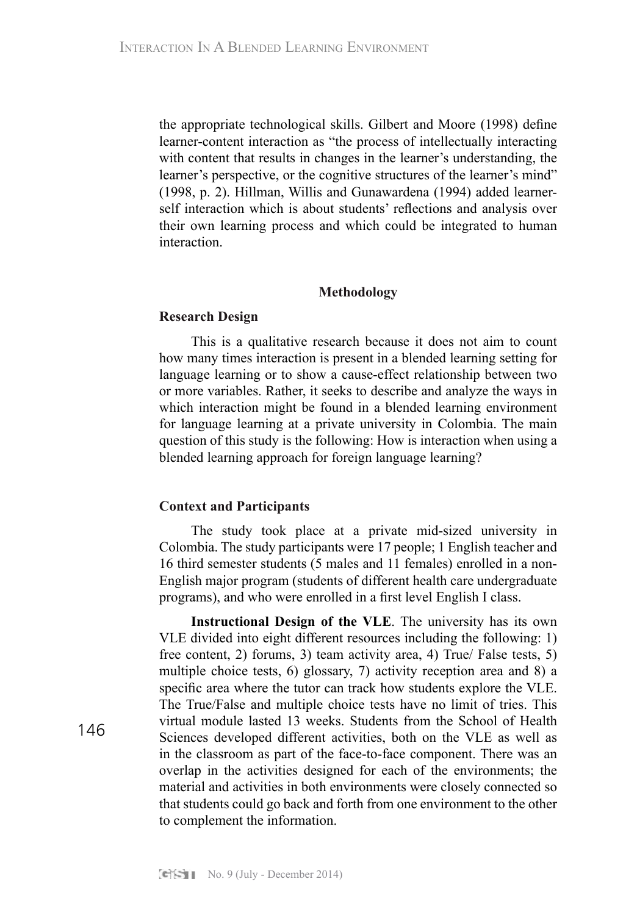the appropriate technological skills. Gilbert and Moore (1998) define learner-content interaction as "the process of intellectually interacting with content that results in changes in the learner's understanding, the learner's perspective, or the cognitive structures of the learner's mind" (1998, p. 2). Hillman, Willis and Gunawardena (1994) added learnerself interaction which is about students' reflections and analysis over their own learning process and which could be integrated to human interaction.

#### **Methodology**

#### **Research Design**

This is a qualitative research because it does not aim to count how many times interaction is present in a blended learning setting for language learning or to show a cause-effect relationship between two or more variables. Rather, it seeks to describe and analyze the ways in which interaction might be found in a blended learning environment for language learning at a private university in Colombia. The main question of this study is the following: How is interaction when using a blended learning approach for foreign language learning?

#### **Context and Participants**

The study took place at a private mid-sized university in Colombia. The study participants were 17 people; 1 English teacher and 16 third semester students (5 males and 11 females) enrolled in a non-English major program (students of different health care undergraduate programs), and who were enrolled in a first level English I class.

**Instructional Design of the VLE**. The university has its own VLE divided into eight different resources including the following: 1) free content, 2) forums, 3) team activity area, 4) True/ False tests, 5) multiple choice tests, 6) glossary, 7) activity reception area and 8) a specific area where the tutor can track how students explore the VLE. The True/False and multiple choice tests have no limit of tries. This virtual module lasted 13 weeks. Students from the School of Health Sciences developed different activities, both on the VLE as well as in the classroom as part of the face-to-face component. There was an overlap in the activities designed for each of the environments; the material and activities in both environments were closely connected so that students could go back and forth from one environment to the other to complement the information.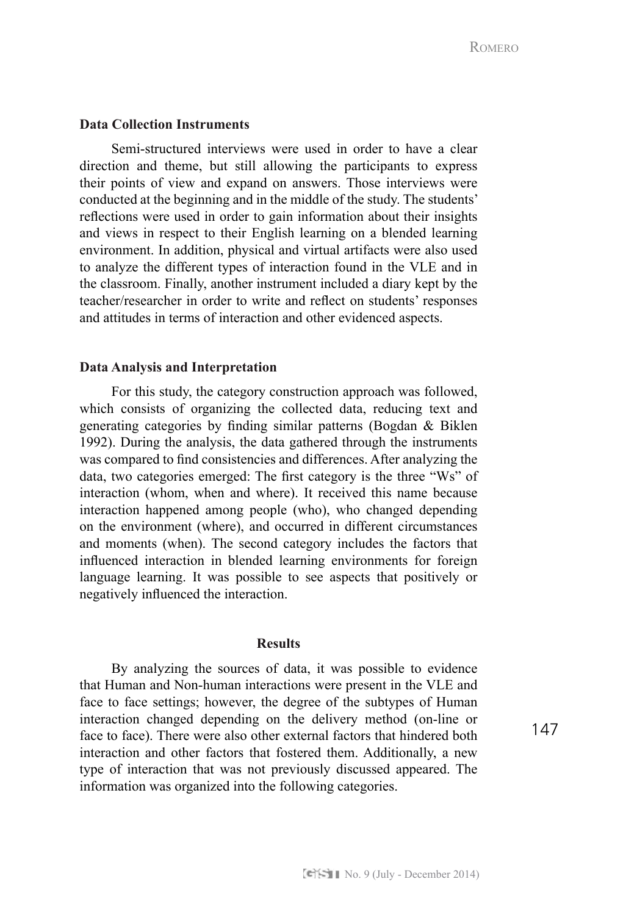# **Data Collection Instruments**

Semi-structured interviews were used in order to have a clear direction and theme, but still allowing the participants to express their points of view and expand on answers. Those interviews were conducted at the beginning and in the middle of the study. The students' reflections were used in order to gain information about their insights and views in respect to their English learning on a blended learning environment. In addition, physical and virtual artifacts were also used to analyze the different types of interaction found in the VLE and in the classroom. Finally, another instrument included a diary kept by the teacher/researcher in order to write and reflect on students' responses and attitudes in terms of interaction and other evidenced aspects.

# **Data Analysis and Interpretation**

For this study, the category construction approach was followed, which consists of organizing the collected data, reducing text and generating categories by finding similar patterns (Bogdan & Biklen 1992). During the analysis, the data gathered through the instruments was compared to find consistencies and differences. After analyzing the data, two categories emerged: The first category is the three "Ws" of interaction (whom, when and where). It received this name because interaction happened among people (who), who changed depending on the environment (where), and occurred in different circumstances and moments (when). The second category includes the factors that influenced interaction in blended learning environments for foreign language learning. It was possible to see aspects that positively or negatively influenced the interaction.

#### **Results**

By analyzing the sources of data, it was possible to evidence that Human and Non-human interactions were present in the VLE and face to face settings; however, the degree of the subtypes of Human interaction changed depending on the delivery method (on-line or face to face). There were also other external factors that hindered both interaction and other factors that fostered them. Additionally, a new type of interaction that was not previously discussed appeared. The information was organized into the following categories.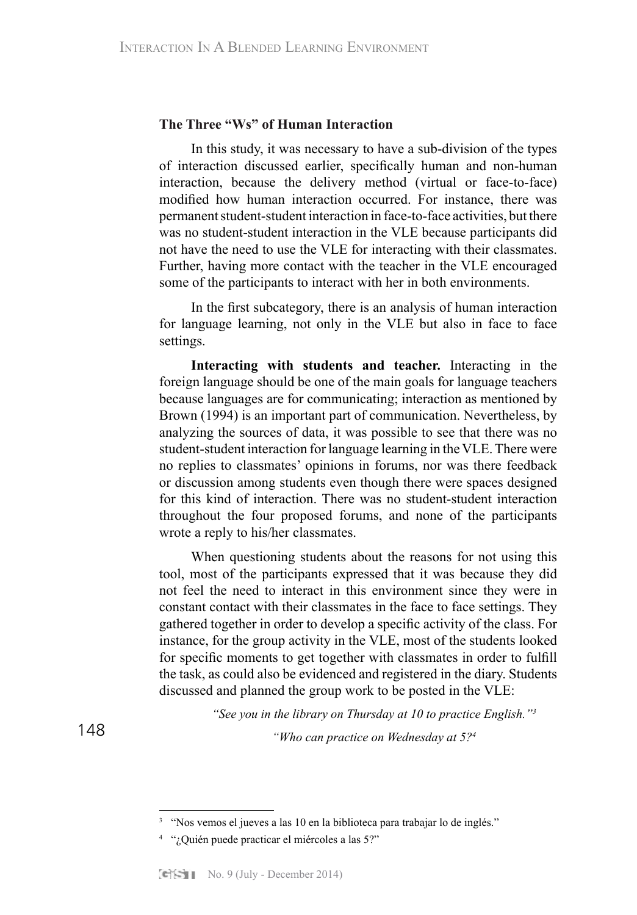## **The Three "Ws" of Human Interaction**

In this study, it was necessary to have a sub-division of the types of interaction discussed earlier, specifically human and non-human interaction, because the delivery method (virtual or face-to-face) modified how human interaction occurred. For instance, there was permanent student-student interaction in face-to-face activities, but there was no student-student interaction in the VLE because participants did not have the need to use the VLE for interacting with their classmates. Further, having more contact with the teacher in the VLE encouraged some of the participants to interact with her in both environments.

In the first subcategory, there is an analysis of human interaction for language learning, not only in the VLE but also in face to face settings.

**Interacting with students and teacher.** Interacting in the foreign language should be one of the main goals for language teachers because languages are for communicating; interaction as mentioned by Brown (1994) is an important part of communication. Nevertheless, by analyzing the sources of data, it was possible to see that there was no student-student interaction for language learning in the VLE. There were no replies to classmates' opinions in forums, nor was there feedback or discussion among students even though there were spaces designed for this kind of interaction. There was no student-student interaction throughout the four proposed forums, and none of the participants wrote a reply to his/her classmates.

When questioning students about the reasons for not using this tool, most of the participants expressed that it was because they did not feel the need to interact in this environment since they were in constant contact with their classmates in the face to face settings. They gathered together in order to develop a specific activity of the class. For instance, for the group activity in the VLE, most of the students looked for specific moments to get together with classmates in order to fulfill the task, as could also be evidenced and registered in the diary. Students discussed and planned the group work to be posted in the VLE:

*"See you in the library on Thursday at 10 to practice English."3*

*"Who can practice on Wednesday at 5?4*

<sup>3</sup> "Nos vemos el jueves a las 10 en la biblioteca para trabajar lo de inglés."

<sup>&</sup>lt;sup>4</sup> "¿Quién puede practicar el miércoles a las 5?"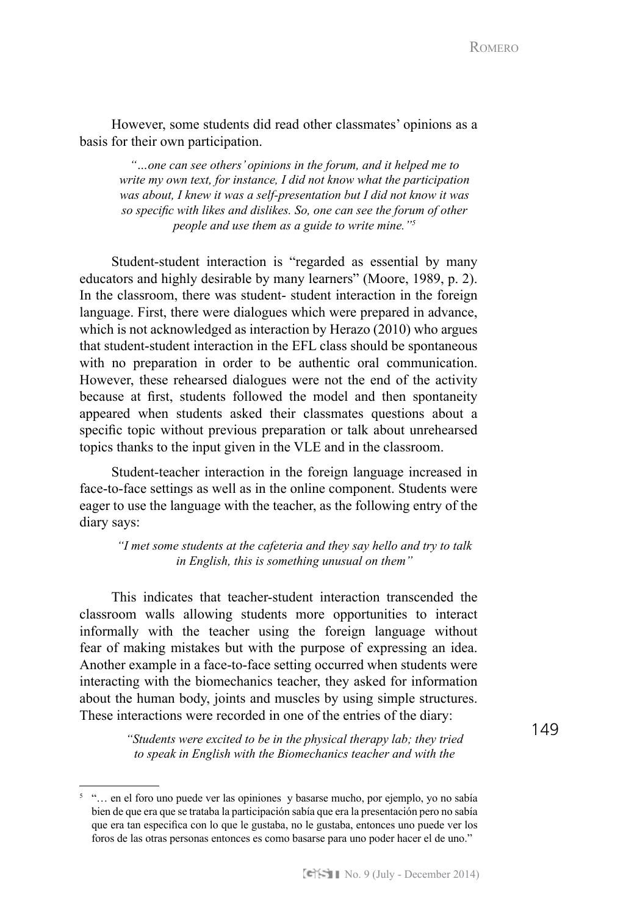However, some students did read other classmates' opinions as a basis for their own participation.

*"…one can see others' opinions in the forum, and it helped me to write my own text, for instance, I did not know what the participation was about, I knew it was a self-presentation but I did not know it was so specific with likes and dislikes. So, one can see the forum of other people and use them as a guide to write mine."5* 

Student-student interaction is "regarded as essential by many educators and highly desirable by many learners" (Moore, 1989, p. 2). In the classroom, there was student- student interaction in the foreign language. First, there were dialogues which were prepared in advance, which is not acknowledged as interaction by Herazo (2010) who argues that student-student interaction in the EFL class should be spontaneous with no preparation in order to be authentic oral communication. However, these rehearsed dialogues were not the end of the activity because at first, students followed the model and then spontaneity appeared when students asked their classmates questions about a specific topic without previous preparation or talk about unrehearsed topics thanks to the input given in the VLE and in the classroom.

Student-teacher interaction in the foreign language increased in face-to-face settings as well as in the online component. Students were eager to use the language with the teacher, as the following entry of the diary says:

*"I met some students at the cafeteria and they say hello and try to talk in English, this is something unusual on them"*

This indicates that teacher-student interaction transcended the classroom walls allowing students more opportunities to interact informally with the teacher using the foreign language without fear of making mistakes but with the purpose of expressing an idea. Another example in a face-to-face setting occurred when students were interacting with the biomechanics teacher, they asked for information about the human body, joints and muscles by using simple structures. These interactions were recorded in one of the entries of the diary:

> *"Students were excited to be in the physical therapy lab; they tried to speak in English with the Biomechanics teacher and with the*

<sup>5</sup> "… en el foro uno puede ver las opiniones y basarse mucho, por ejemplo, yo no sabía bien de que era que se trataba la participación sabía que era la presentación pero no sabía que era tan especifica con lo que le gustaba, no le gustaba, entonces uno puede ver los foros de las otras personas entonces es como basarse para uno poder hacer el de uno."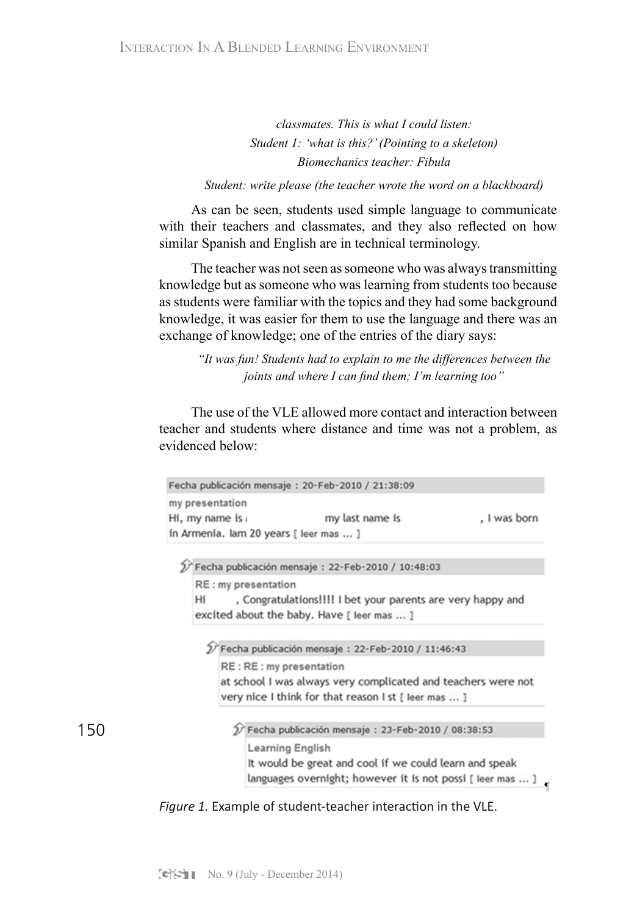*classmates. This is what I could listen: Student 1: 'what is this?' (Pointing to a skeleton) Biomechanics teacher: Fibula*

*Student: write please (the teacher wrote the word on a blackboard)*

As can be seen, students used simple language to communicate with their teachers and classmates, and they also reflected on how similar Spanish and English are in technical terminology.

The teacher was not seen as someone who was always transmitting knowledge but as someone who was learning from students too because as students were familiar with the topics and they had some background knowledge, it was easier for them to use the language and there was an exchange of knowledge; one of the entries of the diary says:

*"It was fun! Students had to explain to me the differences between the joints and where I can find them; I'm learning too"*

The use of the VLE allowed more contact and interaction between teacher and students where distance and time was not a problem, as evidenced below:

|                                                                   |                                                               | Fecha publicación mensaje: 20-Feb-2010 / 21:38:09          |              |
|-------------------------------------------------------------------|---------------------------------------------------------------|------------------------------------------------------------|--------------|
| my presentation                                                   |                                                               |                                                            |              |
| Hi, my name is                                                    |                                                               | my last name is                                            | , I was born |
|                                                                   | in Armenia. Iam 20 years [ leer mas  ]                        |                                                            |              |
|                                                                   |                                                               |                                                            |              |
|                                                                   |                                                               | Fecha publicación mensaje : 22-Feb-2010 / 10:48:03         |              |
|                                                                   | RE: my presentation                                           |                                                            |              |
| , Congratulations!!!! I bet your parents are very happy and<br>Hi |                                                               |                                                            |              |
|                                                                   |                                                               | excited about the baby. Have [ leer mas  ]                 |              |
|                                                                   |                                                               |                                                            |              |
|                                                                   |                                                               |                                                            |              |
|                                                                   | 2 Fecha publicación mensaje: 22-Feb-2010 / 11:46:43           |                                                            |              |
|                                                                   | RE: RE: my presentation                                       |                                                            |              |
|                                                                   | at school I was always very complicated and teachers were not |                                                            |              |
|                                                                   | very nice I think for that reason I st [ leer mas  ]          |                                                            |              |
|                                                                   |                                                               |                                                            |              |
|                                                                   |                                                               | Fecha publicación mensaje: 23-Feb-2010 / 08:38:53          |              |
|                                                                   | Learning English                                              |                                                            |              |
|                                                                   |                                                               | It would be great and cool if we could learn and speak     |              |
|                                                                   |                                                               |                                                            |              |
|                                                                   |                                                               | languages overnight; however it is not possi [ leer mas  ] |              |

*Figure 1.* Example of student-teacher interaction in the VLE.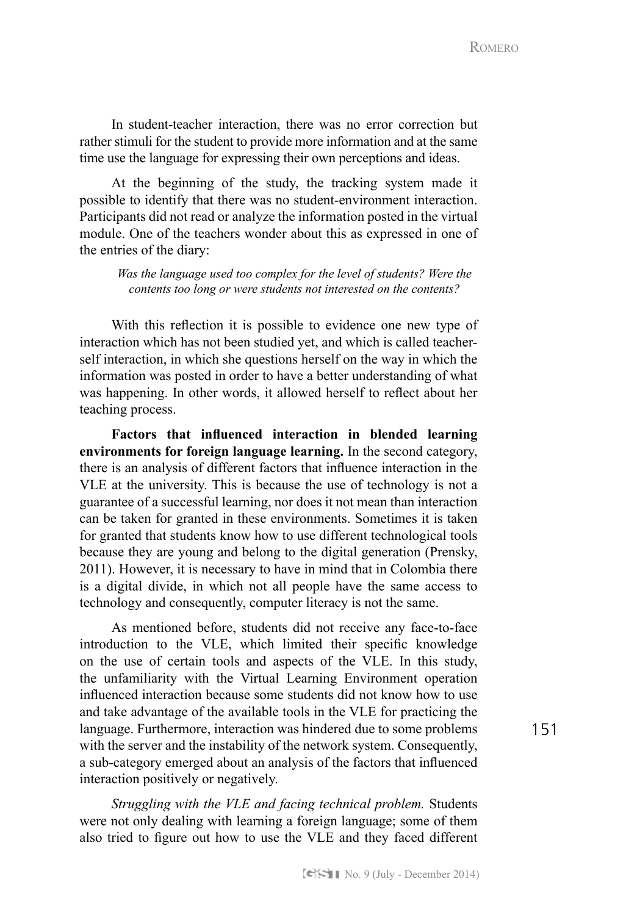In student-teacher interaction, there was no error correction but rather stimuli for the student to provide more information and at the same time use the language for expressing their own perceptions and ideas.

At the beginning of the study, the tracking system made it possible to identify that there was no student-environment interaction. Participants did not read or analyze the information posted in the virtual module. One of the teachers wonder about this as expressed in one of the entries of the diary:

*Was the language used too complex for the level of students? Were the contents too long or were students not interested on the contents?*

With this reflection it is possible to evidence one new type of interaction which has not been studied yet, and which is called teacherself interaction, in which she questions herself on the way in which the information was posted in order to have a better understanding of what was happening. In other words, it allowed herself to reflect about her teaching process.

**Factors that influenced interaction in blended learning environments for foreign language learning.** In the second category, there is an analysis of different factors that influence interaction in the VLE at the university. This is because the use of technology is not a guarantee of a successful learning, nor does it not mean than interaction can be taken for granted in these environments. Sometimes it is taken for granted that students know how to use different technological tools because they are young and belong to the digital generation (Prensky, 2011). However, it is necessary to have in mind that in Colombia there is a digital divide, in which not all people have the same access to technology and consequently, computer literacy is not the same.

As mentioned before, students did not receive any face-to-face introduction to the VLE, which limited their specific knowledge on the use of certain tools and aspects of the VLE. In this study, the unfamiliarity with the Virtual Learning Environment operation influenced interaction because some students did not know how to use and take advantage of the available tools in the VLE for practicing the language. Furthermore, interaction was hindered due to some problems with the server and the instability of the network system. Consequently, a sub-category emerged about an analysis of the factors that influenced interaction positively or negatively.

*Struggling with the VLE and facing technical problem.* Students were not only dealing with learning a foreign language; some of them also tried to figure out how to use the VLE and they faced different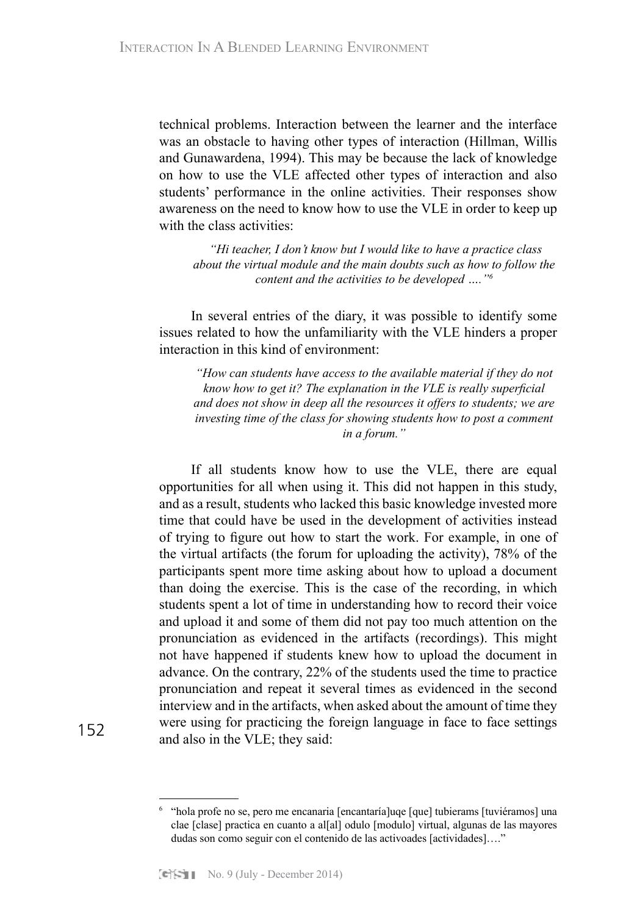technical problems. Interaction between the learner and the interface was an obstacle to having other types of interaction (Hillman, Willis and Gunawardena, 1994). This may be because the lack of knowledge on how to use the VLE affected other types of interaction and also students' performance in the online activities. Their responses show awareness on the need to know how to use the VLE in order to keep up with the class activities:

 *"Hi teacher, I don't know but I would like to have a practice class about the virtual module and the main doubts such as how to follow the content and the activities to be developed …."6*

In several entries of the diary, it was possible to identify some issues related to how the unfamiliarity with the VLE hinders a proper interaction in this kind of environment:

*"How can students have access to the available material if they do not know how to get it? The explanation in the VLE is really superficial and does not show in deep all the resources it offers to students; we are investing time of the class for showing students how to post a comment in a forum."* 

If all students know how to use the VLE, there are equal opportunities for all when using it. This did not happen in this study, and as a result, students who lacked this basic knowledge invested more time that could have be used in the development of activities instead of trying to figure out how to start the work. For example, in one of the virtual artifacts (the forum for uploading the activity), 78% of the participants spent more time asking about how to upload a document than doing the exercise. This is the case of the recording, in which students spent a lot of time in understanding how to record their voice and upload it and some of them did not pay too much attention on the pronunciation as evidenced in the artifacts (recordings). This might not have happened if students knew how to upload the document in advance. On the contrary, 22% of the students used the time to practice pronunciation and repeat it several times as evidenced in the second interview and in the artifacts, when asked about the amount of time they were using for practicing the foreign language in face to face settings and also in the VLE; they said:

<sup>6</sup> "hola profe no se, pero me encanaria [encantaría]uqe [que] tubierams [tuviéramos] una clae [clase] practica en cuanto a al[al] odulo [modulo] virtual, algunas de las mayores dudas son como seguir con el contenido de las activoades [actividades]…."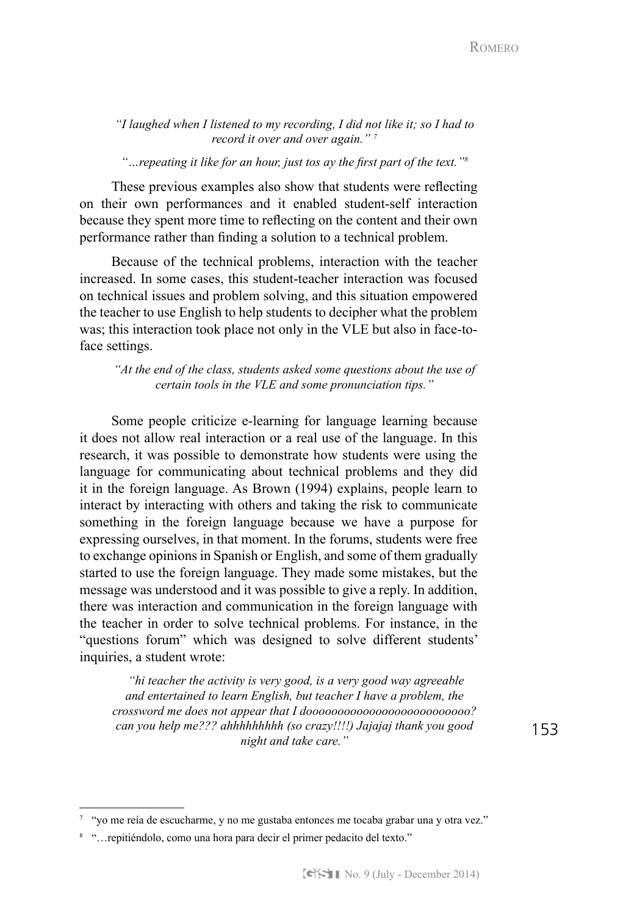*"I laughed when I listened to my recording, I did not like it; so I had to record it over and over again." 7*

*"…repeating it like for an hour, just tos ay the first part of the text."<sup>8</sup>*

These previous examples also show that students were reflecting on their own performances and it enabled student-self interaction because they spent more time to reflecting on the content and their own performance rather than finding a solution to a technical problem.

Because of the technical problems, interaction with the teacher increased. In some cases, this student-teacher interaction was focused on technical issues and problem solving, and this situation empowered the teacher to use English to help students to decipher what the problem was; this interaction took place not only in the VLE but also in face-toface settings.

*"At the end of the class, students asked some questions about the use of certain tools in the VLE and some pronunciation tips."*

Some people criticize e-learning for language learning because it does not allow real interaction or a real use of the language. In this research, it was possible to demonstrate how students were using the language for communicating about technical problems and they did it in the foreign language. As Brown (1994) explains, people learn to interact by interacting with others and taking the risk to communicate something in the foreign language because we have a purpose for expressing ourselves, in that moment. In the forums, students were free to exchange opinions in Spanish or English, and some of them gradually started to use the foreign language. They made some mistakes, but the message was understood and it was possible to give a reply. In addition, there was interaction and communication in the foreign language with the teacher in order to solve technical problems. For instance, in the "questions forum" which was designed to solve different students' inquiries, a student wrote:

 *"hi teacher the activity is very good, is a very good way agreeable and entertained to learn English, but teacher I have a problem, the crossword me does not appear that I doooooooooooooooooooooooooo? can you help me??? ahhhhhhhhh (so crazy!!!!) Jajajaj thank you good night and take care."*

<sup>7</sup> "yo me reía de escucharme, y no me gustaba entonces me tocaba grabar una y otra vez."

<sup>8</sup> "…repitiéndolo, como una hora para decir el primer pedacito del texto."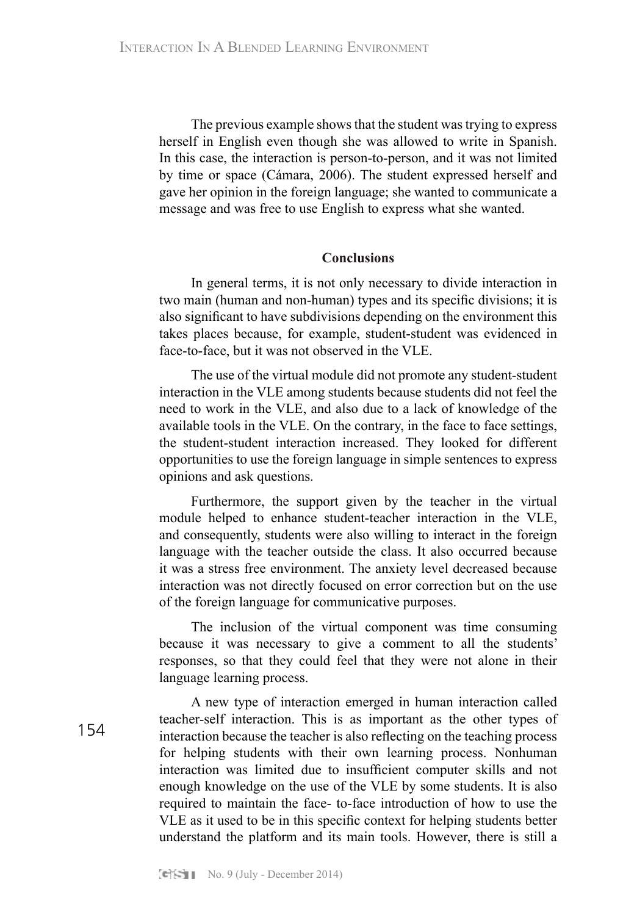The previous example shows that the student was trying to express herself in English even though she was allowed to write in Spanish. In this case, the interaction is person-to-person, and it was not limited by time or space (Cámara, 2006). The student expressed herself and gave her opinion in the foreign language; she wanted to communicate a message and was free to use English to express what she wanted.

# **Conclusions**

In general terms, it is not only necessary to divide interaction in two main (human and non-human) types and its specific divisions; it is also significant to have subdivisions depending on the environment this takes places because, for example, student-student was evidenced in face-to-face, but it was not observed in the VLE.

The use of the virtual module did not promote any student-student interaction in the VLE among students because students did not feel the need to work in the VLE, and also due to a lack of knowledge of the available tools in the VLE. On the contrary, in the face to face settings, the student-student interaction increased. They looked for different opportunities to use the foreign language in simple sentences to express opinions and ask questions.

Furthermore, the support given by the teacher in the virtual module helped to enhance student-teacher interaction in the VLE, and consequently, students were also willing to interact in the foreign language with the teacher outside the class. It also occurred because it was a stress free environment. The anxiety level decreased because interaction was not directly focused on error correction but on the use of the foreign language for communicative purposes.

The inclusion of the virtual component was time consuming because it was necessary to give a comment to all the students' responses, so that they could feel that they were not alone in their language learning process.

A new type of interaction emerged in human interaction called teacher-self interaction. This is as important as the other types of interaction because the teacher is also reflecting on the teaching process for helping students with their own learning process. Nonhuman interaction was limited due to insufficient computer skills and not enough knowledge on the use of the VLE by some students. It is also required to maintain the face- to-face introduction of how to use the VLE as it used to be in this specific context for helping students better understand the platform and its main tools. However, there is still a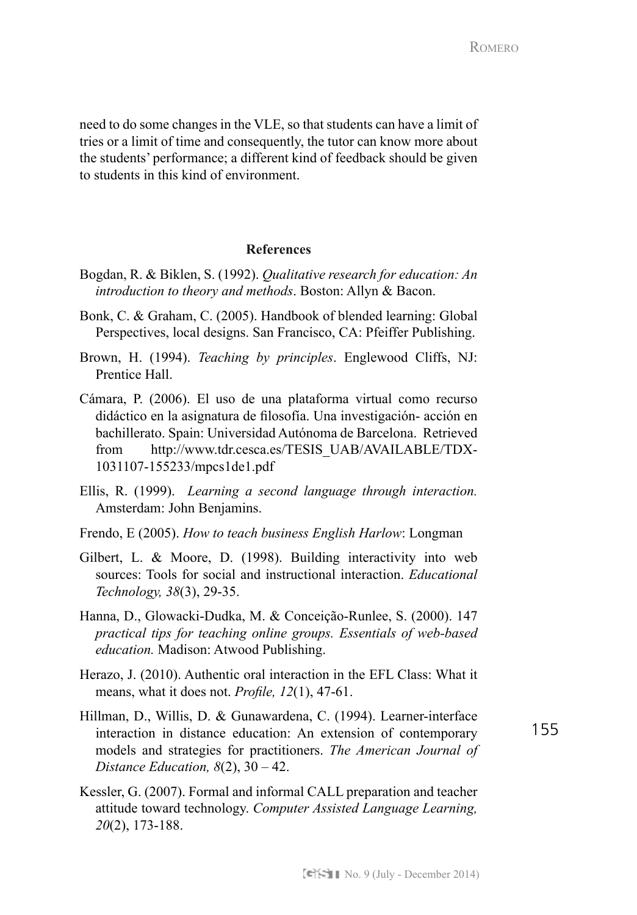need to do some changes in the VLE, so that students can have a limit of tries or a limit of time and consequently, the tutor can know more about the students' performance; a different kind of feedback should be given to students in this kind of environment.

# **References**

- Bogdan, R. & Biklen, S. (1992). *Qualitative research for education: An introduction to theory and methods*. Boston: Allyn & Bacon.
- Bonk, C. & Graham, C. (2005). Handbook of blended learning: Global Perspectives, local designs. San Francisco, CA: Pfeiffer Publishing.
- Brown, H. (1994). *Teaching by principles*. Englewood Cliffs, NJ: Prentice Hall.
- Cámara, P. (2006). El uso de una plataforma virtual como recurso didáctico en la asignatura de filosofía. Una investigación- acción en bachillerato. Spain: Universidad Autónoma de Barcelona. Retrieved from http://www.tdr.cesca.es/TESIS\_UAB/AVAILABLE/TDX-1031107-155233/mpcs1de1.pdf
- Ellis, R. (1999). *Learning a second language through interaction.*  Amsterdam: John Benjamins.
- Frendo, E (2005). *How to teach business English Harlow*: Longman
- Gilbert, L. & Moore, D. (1998). Building interactivity into web sources: Tools for social and instructional interaction. *Educational Technology, 38*(3), 29-35.
- Hanna, D., Glowacki-Dudka, M. & Conceição-Runlee, S. (2000). 147 *practical tips for teaching online groups. Essentials of web-based education.* Madison: Atwood Publishing.
- Herazo, J. (2010). Authentic oral interaction in the EFL Class: What it means, what it does not. *Profile, 12*(1), 47-61.
- Hillman, D., Willis, D. & Gunawardena, C. (1994). Learner-interface interaction in distance education: An extension of contemporary models and strategies for practitioners. *The American Journal of Distance Education, 8*(2), 30 – 42.

155

Kessler, G. (2007). Formal and informal CALL preparation and teacher attitude toward technology. *Computer Assisted Language Learning, 20*(2), 173-188.